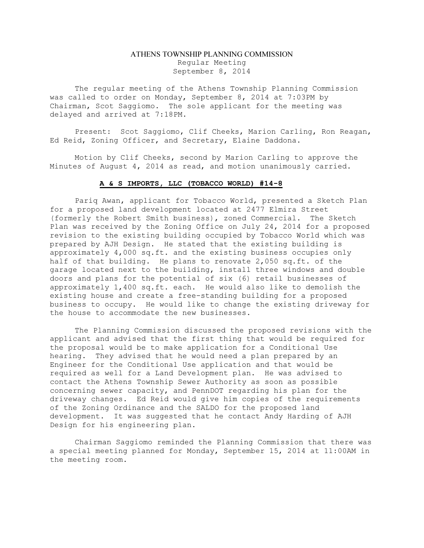## ATHENS TOWNSHIP PLANNING COMMISSION Regular Meeting September 8, 2014

The regular meeting of the Athens Township Planning Commission was called to order on Monday, September 8, 2014 at 7:03PM by Chairman, Scot Saggiomo. The sole applicant for the meeting was delayed and arrived at 7:18PM.

Present: Scot Saggiomo, Clif Cheeks, Marion Carling, Ron Reagan, Ed Reid, Zoning Officer, and Secretary, Elaine Daddona.

Motion by Clif Cheeks, second by Marion Carling to approve the Minutes of August 4, 2014 as read, and motion unanimously carried.

## A & S IMPORTS, LLC (TOBACCO WORLD) #14-8

Pariq Awan, applicant for Tobacco World, presented a Sketch Plan for a proposed land development located at 2477 Elmira Street (formerly the Robert Smith business), zoned Commercial. The Sketch Plan was received by the Zoning Office on July 24, 2014 for a proposed revision to the existing building occupied by Tobacco World which was prepared by AJH Design. He stated that the existing building is approximately 4,000 sq.ft. and the existing business occupies only half of that building. He plans to renovate 2,050 sq.ft. of the garage located next to the building, install three windows and double doors and plans for the potential of six (6) retail businesses of approximately 1,400 sq.ft. each. He would also like to demolish the existing house and create a free-standing building for a proposed business to occupy. He would like to change the existing driveway for the house to accommodate the new businesses.

The Planning Commission discussed the proposed revisions with the applicant and advised that the first thing that would be required for the proposal would be to make application for a Conditional Use hearing. They advised that he would need a plan prepared by an Engineer for the Conditional Use application and that would be required as well for a Land Development plan. He was advised to contact the Athens Township Sewer Authority as soon as possible concerning sewer capacity, and PennDOT regarding his plan for the driveway changes. Ed Reid would give him copies of the requirements of the Zoning Ordinance and the SALDO for the proposed land development. It was suggested that he contact Andy Harding of AJH Design for his engineering plan.

Chairman Saggiomo reminded the Planning Commission that there was a special meeting planned for Monday, September 15, 2014 at 11:00AM in the meeting room.